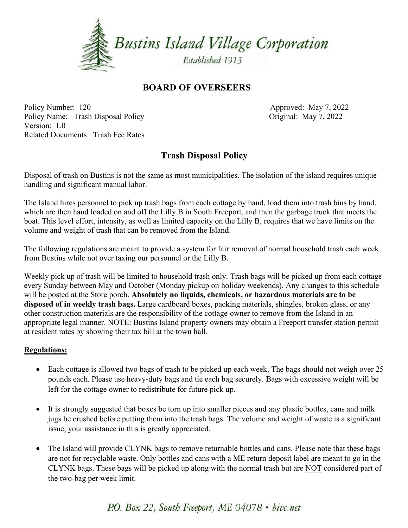

### **BOARD OF OVERSEERS**

Policy Number: 120 Policy Name: Trash Disposal Policy Version: 1.0 **Related Documents: Trash Fee Rates** 

Approved: May 7, 2022 Original: May 7, 2022

## **Trash Disposal Policy**

Disposal of trash on Bustins is not the same as most municipalities. The isolation of the island requires unique handling and significant manual labor.

The Island hires personnel to pick up trash bags from each cottage by hand, load them into trash bins by hand, which are then hand loaded on and off the Lilly B in South Freeport, and then the garbage truck that meets the boat. This level effort, intensity, as well as limited capacity on the Lilly B, requires that we have limits on the volume and weight of trash that can be removed from the Island.

The following regulations are meant to provide a system for fair removal of normal household trash each week from Bustins while not over taxing our personnel or the Lilly B.

Weekly pick up of trash will be limited to household trash only. Trash bags will be picked up from each cottage every Sunday between May and October (Monday pickup on holiday weekends). Any changes to this schedule will be posted at the Store porch. Absolutely no liquids, chemicals, or hazardous materials are to be disposed of in weekly trash bags. Large cardboard boxes, packing materials, shingles, broken glass, or any other construction materials are the responsibility of the cottage owner to remove from the Island in an appropriate legal manner. NOTE: Bustins Island property owners may obtain a Freeport transfer station permit at resident rates by showing their tax bill at the town hall.

#### **Regulations:**

- Each cottage is allowed two bags of trash to be picked up each week. The bags should not weigh over 25 pounds each. Please use heavy-duty bags and tie each bag securely. Bags with excessive weight will be left for the cottage owner to redistribute for future pick up.
- It is strongly suggested that boxes be torn up into smaller pieces and any plastic bottles, cans and milk  $\bullet$ jugs be crushed before putting them into the trash bags. The volume and weight of waste is a significant issue, your assistance in this is greatly appreciated.
- The Island will provide CLYNK bags to remove returnable bottles and cans. Please note that these bags are not for recyclable waste. Only bottles and cans with a ME return deposit label are meant to go in the CLYNK bags. These bags will be picked up along with the normal trash but are NOT considered part of the two-bag per week limit.

## P.O. Box 22, South Freeport, ME 04078 · bivc.net